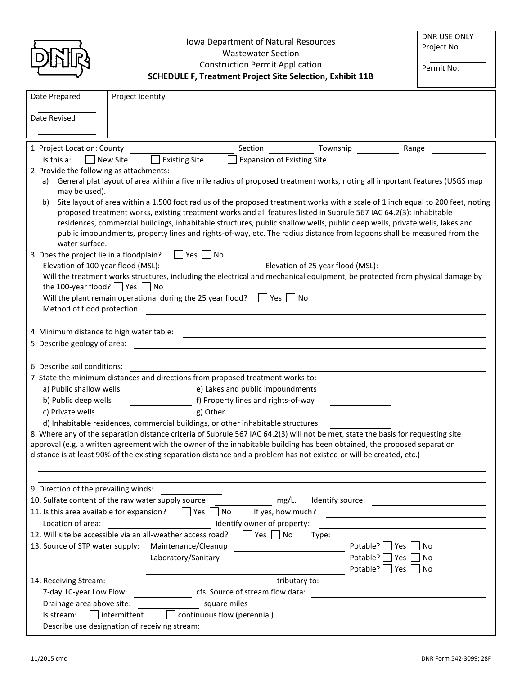| l |
|---|
|   |

**SCHEDULE F, Treatment Project Site Selection, Exhibit 11B**

Permit No.

| Date Prepared                                                                                                                                                                                                                                                | Project Identity                                                                                                     |                                   |               |                                                    |  |  |
|--------------------------------------------------------------------------------------------------------------------------------------------------------------------------------------------------------------------------------------------------------------|----------------------------------------------------------------------------------------------------------------------|-----------------------------------|---------------|----------------------------------------------------|--|--|
| Date Revised                                                                                                                                                                                                                                                 |                                                                                                                      |                                   |               |                                                    |  |  |
|                                                                                                                                                                                                                                                              |                                                                                                                      |                                   |               |                                                    |  |  |
|                                                                                                                                                                                                                                                              |                                                                                                                      |                                   |               |                                                    |  |  |
| 1. Project Location: County                                                                                                                                                                                                                                  |                                                                                                                      | Section                           | Township      | Range                                              |  |  |
| Is this a:                                                                                                                                                                                                                                                   | <b>Existing Site</b><br>New Site                                                                                     | <b>Expansion of Existing Site</b> |               |                                                    |  |  |
| 2. Provide the following as attachments:                                                                                                                                                                                                                     |                                                                                                                      |                                   |               |                                                    |  |  |
| General plat layout of area within a five mile radius of proposed treatment works, noting all important features (USGS map<br>a)<br>may be used).                                                                                                            |                                                                                                                      |                                   |               |                                                    |  |  |
| Site layout of area within a 1,500 foot radius of the proposed treatment works with a scale of 1 inch equal to 200 feet, noting<br>b)                                                                                                                        |                                                                                                                      |                                   |               |                                                    |  |  |
| proposed treatment works, existing treatment works and all features listed in Subrule 567 IAC 64.2(3): inhabitable                                                                                                                                           |                                                                                                                      |                                   |               |                                                    |  |  |
| residences, commercial buildings, inhabitable structures, public shallow wells, public deep wells, private wells, lakes and                                                                                                                                  |                                                                                                                      |                                   |               |                                                    |  |  |
| public impoundments, property lines and rights-of-way, etc. The radius distance from lagoons shall be measured from the<br>water surface.                                                                                                                    |                                                                                                                      |                                   |               |                                                    |  |  |
| 3. Does the project lie in a floodplain?                                                                                                                                                                                                                     | $\Box$ Yes $\Box$ No                                                                                                 |                                   |               |                                                    |  |  |
| Elevation of 100 year flood (MSL):<br>Elevation of 25 year flood (MSL):                                                                                                                                                                                      |                                                                                                                      |                                   |               |                                                    |  |  |
| Will the treatment works structures, including the electrical and mechanical equipment, be protected from physical damage by                                                                                                                                 |                                                                                                                      |                                   |               |                                                    |  |  |
| the 100-year flood? $\Box$ Yes $\Box$ No                                                                                                                                                                                                                     |                                                                                                                      |                                   |               |                                                    |  |  |
| Will the plant remain operational during the 25 year flood? $\Box$ Yes $\Box$ No                                                                                                                                                                             |                                                                                                                      |                                   |               |                                                    |  |  |
| Method of flood protection:                                                                                                                                                                                                                                  |                                                                                                                      |                                   |               |                                                    |  |  |
| 4. Minimum distance to high water table:                                                                                                                                                                                                                     |                                                                                                                      |                                   |               |                                                    |  |  |
| 5. Describe geology of area:                                                                                                                                                                                                                                 |                                                                                                                      |                                   |               |                                                    |  |  |
|                                                                                                                                                                                                                                                              |                                                                                                                      |                                   |               |                                                    |  |  |
| 6. Describe soil conditions:                                                                                                                                                                                                                                 |                                                                                                                      |                                   |               |                                                    |  |  |
| 7. State the minimum distances and directions from proposed treatment works to:                                                                                                                                                                              |                                                                                                                      |                                   |               |                                                    |  |  |
| a) Public shallow wells                                                                                                                                                                                                                                      | e) Lakes and public impoundments                                                                                     |                                   |               |                                                    |  |  |
| b) Public deep wells                                                                                                                                                                                                                                         | f) Property lines and rights-of-way                                                                                  |                                   |               |                                                    |  |  |
| c) Private wells<br>g) Other                                                                                                                                                                                                                                 |                                                                                                                      |                                   |               |                                                    |  |  |
|                                                                                                                                                                                                                                                              | d) Inhabitable residences, commercial buildings, or other inhabitable structures                                     |                                   |               |                                                    |  |  |
| 8. Where any of the separation distance criteria of Subrule 567 IAC 64.2(3) will not be met, state the basis for requesting site<br>approval (e.g. a written agreement with the owner of the inhabitable building has been obtained, the proposed separation |                                                                                                                      |                                   |               |                                                    |  |  |
|                                                                                                                                                                                                                                                              | distance is at least 90% of the existing separation distance and a problem has not existed or will be created, etc.) |                                   |               |                                                    |  |  |
|                                                                                                                                                                                                                                                              |                                                                                                                      |                                   |               |                                                    |  |  |
|                                                                                                                                                                                                                                                              |                                                                                                                      |                                   |               |                                                    |  |  |
| 9. Direction of the prevailing winds:                                                                                                                                                                                                                        |                                                                                                                      |                                   |               |                                                    |  |  |
| mg/L.<br>10. Sulfate content of the raw water supply source:<br>Identify source:                                                                                                                                                                             |                                                                                                                      |                                   |               |                                                    |  |  |
| 11. Is this area available for expansion?                                                                                                                                                                                                                    | Yes     No                                                                                                           | If yes, how much?                 |               | <u> 1980 - John Stein, Amerikaansk politiker (</u> |  |  |
| Location of area:<br>Identify owner of property:<br>12. Will site be accessible via an all-weather access road?<br>Yes No                                                                                                                                    |                                                                                                                      |                                   |               |                                                    |  |  |
| 13. Source of STP water supply:                                                                                                                                                                                                                              | Maintenance/Cleanup                                                                                                  |                                   | Type:         | Potable?   Yes<br>N <sub>o</sub>                   |  |  |
|                                                                                                                                                                                                                                                              | Laboratory/Sanitary                                                                                                  |                                   | Potable?      | <b>No</b><br>Yes                                   |  |  |
|                                                                                                                                                                                                                                                              |                                                                                                                      |                                   |               | Potable? Yes<br>No                                 |  |  |
| 14. Receiving Stream:                                                                                                                                                                                                                                        |                                                                                                                      |                                   | tributary to: |                                                    |  |  |
|                                                                                                                                                                                                                                                              | cfs. Source of stream flow data:<br>7-day 10-year Low Flow:                                                          |                                   |               |                                                    |  |  |
| Drainage area above site:<br>square miles                                                                                                                                                                                                                    |                                                                                                                      |                                   |               |                                                    |  |  |
| Is stream:                                                                                                                                                                                                                                                   | intermittent                                                                                                         | continuous flow (perennial)       |               |                                                    |  |  |
|                                                                                                                                                                                                                                                              | Describe use designation of receiving stream:                                                                        |                                   |               |                                                    |  |  |